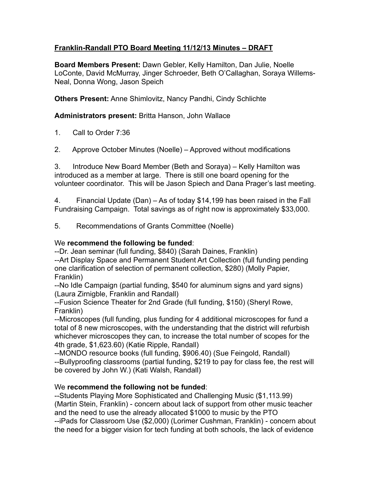## **Franklin-Randall PTO Board Meeting 11/12/13 Minutes – DRAFT**

**Board Members Present:** Dawn Gebler, Kelly Hamilton, Dan Julie, Noelle LoConte, David McMurray, Jinger Schroeder, Beth O'Callaghan, Soraya Willems-Neal, Donna Wong, Jason Speich

**Others Present:** Anne Shimlovitz, Nancy Pandhi, Cindy Schlichte

## **Administrators present:** Britta Hanson, John Wallace

- 1. Call to Order 7:36
- 2. Approve October Minutes (Noelle) Approved without modifications

3. Introduce New Board Member (Beth and Soraya) – Kelly Hamilton was introduced as a member at large. There is still one board opening for the volunteer coordinator. This will be Jason Spiech and Dana Prager's last meeting.

4. Financial Update (Dan) – As of today \$14,199 has been raised in the Fall Fundraising Campaign. Total savings as of right now is approximately \$33,000.

5. Recommendations of Grants Committee (Noelle)

## We **recommend the following be funded**:

--Dr. Jean seminar (full funding, \$840) (Sarah Daines, Franklin)

--Art Display Space and Permanent Student Art Collection (full funding pending one clarification of selection of permanent collection, \$280) (Molly Papier, Franklin)

--No Idle Campaign (partial funding, \$540 for aluminum signs and yard signs) (Laura Zirnigble, Franklin and Randall)

--Fusion Science Theater for 2nd Grade (full funding, \$150) (Sheryl Rowe, Franklin)

--Microscopes (full funding, plus funding for 4 additional microscopes for fund a total of 8 new microscopes, with the understanding that the district will refurbish whichever microscopes they can, to increase the total number of scopes for the 4th grade, \$1,623.60) (Katie Ripple, Randall)

--MONDO resource books (full funding, \$906.40) (Sue Feingold, Randall) --Bullyproofing classrooms (partial funding, \$219 to pay for class fee, the rest will be covered by John W.) (Kati Walsh, Randall)

## We **recommend the following not be funded**:

--Students Playing More Sophisticated and Challenging Music (\$1,113.99) (Martin Stein, Franklin) - concern about lack of support from other music teacher and the need to use the already allocated \$1000 to music by the PTO --iPads for Classroom Use (\$2,000) (Lorimer Cushman, Franklin) - concern about the need for a bigger vision for tech funding at both schools, the lack of evidence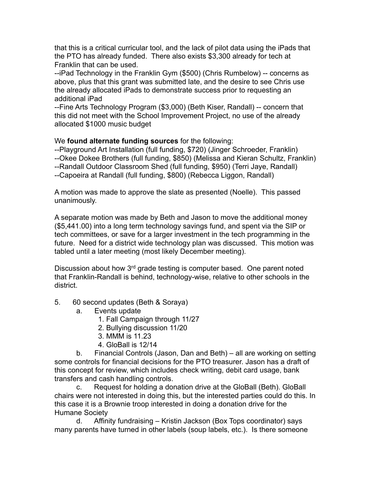that this is a critical curricular tool, and the lack of pilot data using the iPads that the PTO has already funded. There also exists \$3,300 already for tech at Franklin that can be used.

--iPad Technology in the Franklin Gym (\$500) (Chris Rumbelow) -- concerns as above, plus that this grant was submitted late, and the desire to see Chris use the already allocated iPads to demonstrate success prior to requesting an additional iPad

--Fine Arts Technology Program (\$3,000) (Beth Kiser, Randall) -- concern that this did not meet with the School Improvement Project, no use of the already allocated \$1000 music budget

We **found alternate funding sources** for the following:

--Playground Art Installation (full funding, \$720) (Jinger Schroeder, Franklin) --Okee Dokee Brothers (full funding, \$850) (Melissa and Kieran Schultz, Franklin) --Randall Outdoor Classroom Shed (full funding, \$950) (Terri Jaye, Randall) --Capoeira at Randall (full funding, \$800) (Rebecca Liggon, Randall)

A motion was made to approve the slate as presented (Noelle). This passed unanimously.

A separate motion was made by Beth and Jason to move the additional money (\$5,441.00) into a long term technology savings fund, and spent via the SIP or tech committees, or save for a larger investment in the tech programming in the future. Need for a district wide technology plan was discussed. This motion was tabled until a later meeting (most likely December meeting).

Discussion about how 3<sup>rd</sup> grade testing is computer based. One parent noted that Franklin-Randall is behind, technology-wise, relative to other schools in the district.

- 5. 60 second updates (Beth & Soraya)
	- a. Events update
		- 1. Fall Campaign through 11/27
		- 2. Bullying discussion 11/20
		- 3. MMM is 11.23
		- 4. GloBall is 12/14

b. Financial Controls (Jason, Dan and Beth) – all are working on setting some controls for financial decisions for the PTO treasurer. Jason has a draft of this concept for review, which includes check writing, debit card usage, bank transfers and cash handling controls.

c. Request for holding a donation drive at the GloBall (Beth). GloBall chairs were not interested in doing this, but the interested parties could do this. In this case it is a Brownie troop interested in doing a donation drive for the Humane Society

d. Affinity fundraising – Kristin Jackson (Box Tops coordinator) says many parents have turned in other labels (soup labels, etc.). Is there someone